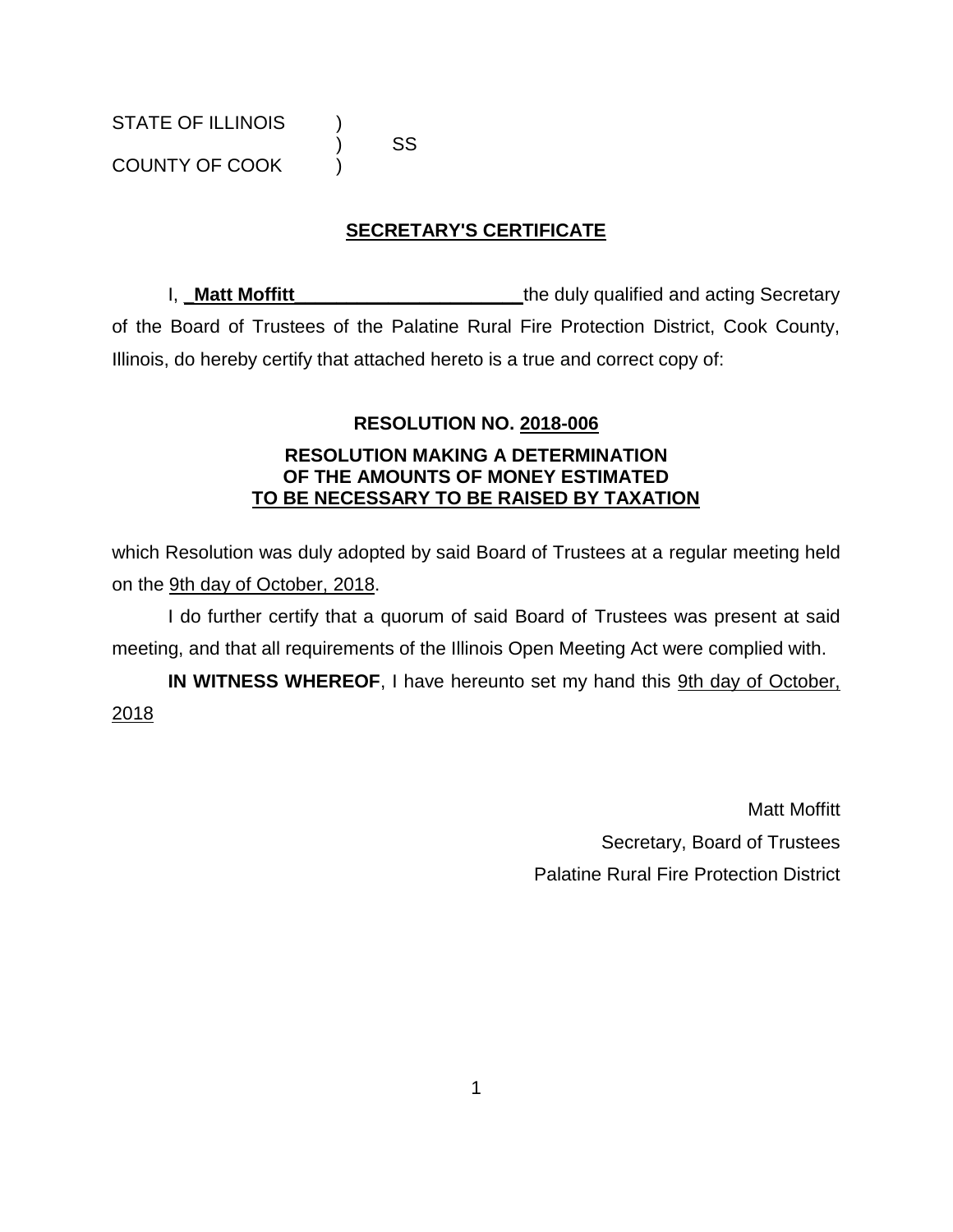COUNTY OF COOK )

) SS

# **SECRETARY'S CERTIFICATE**

I, Matt Moffitt **Music Community Community** the duly qualified and acting Secretary of the Board of Trustees of the Palatine Rural Fire Protection District, Cook County, Illinois, do hereby certify that attached hereto is a true and correct copy of:

## **RESOLUTION NO. 2018-006**

### **RESOLUTION MAKING A DETERMINATION OF THE AMOUNTS OF MONEY ESTIMATED TO BE NECESSARY TO BE RAISED BY TAXATION**

which Resolution was duly adopted by said Board of Trustees at a regular meeting held on the 9th day of October, 2018.

I do further certify that a quorum of said Board of Trustees was present at said meeting, and that all requirements of the Illinois Open Meeting Act were complied with.

**IN WITNESS WHEREOF**, I have hereunto set my hand this 9th day of October, 2018

> Matt Moffitt Secretary, Board of Trustees Palatine Rural Fire Protection District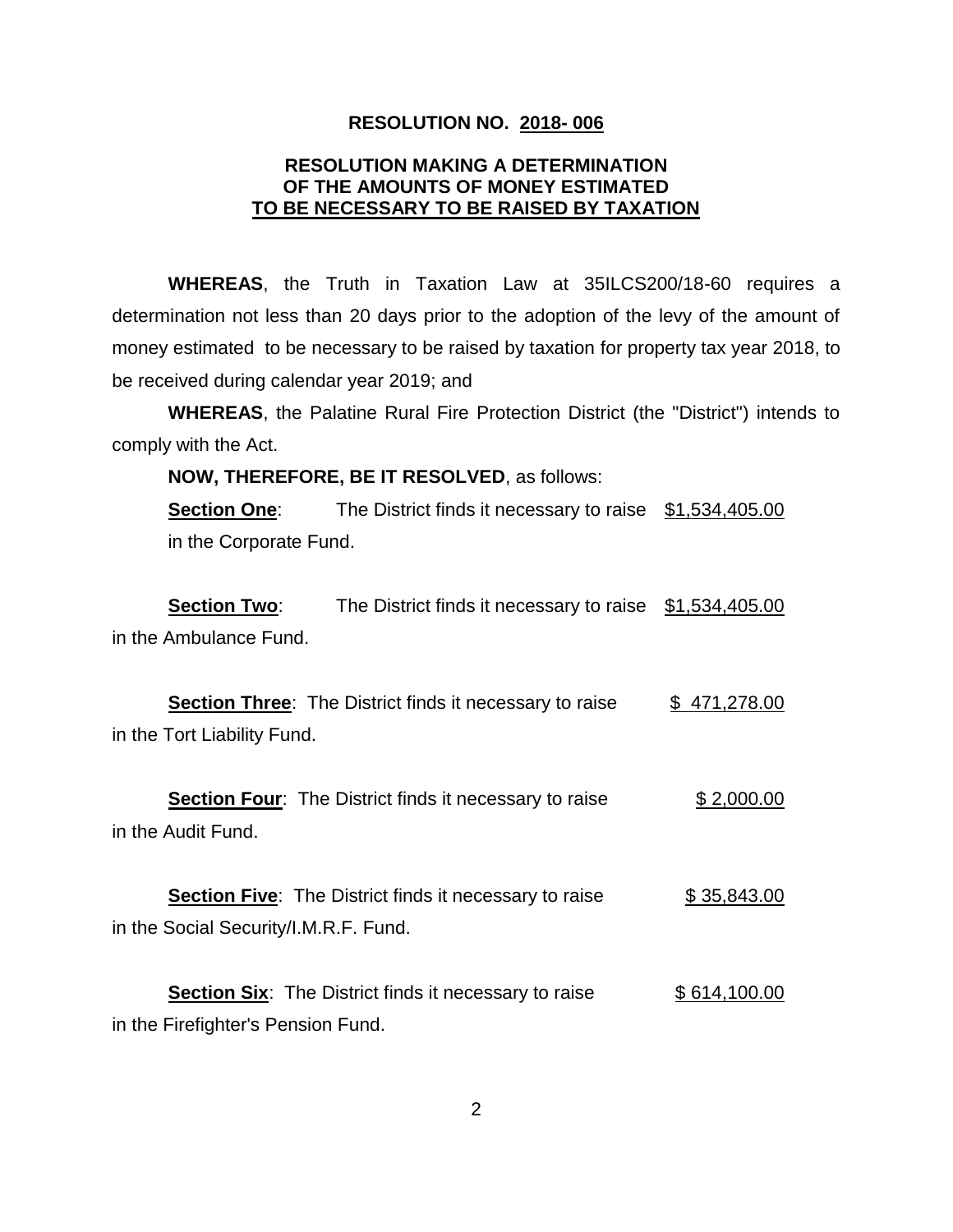#### **RESOLUTION NO. 2018- 006**

### **RESOLUTION MAKING A DETERMINATION OF THE AMOUNTS OF MONEY ESTIMATED TO BE NECESSARY TO BE RAISED BY TAXATION**

**WHEREAS**, the Truth in Taxation Law at 35ILCS200/18-60 requires a determination not less than 20 days prior to the adoption of the levy of the amount of money estimated to be necessary to be raised by taxation for property tax year 2018, to be received during calendar year 2019; and

**WHEREAS**, the Palatine Rural Fire Protection District (the "District") intends to comply with the Act.

**NOW, THEREFORE, BE IT RESOLVED**, as follows:

**Section One:** The District finds it necessary to raise \$1,534,405.00 in the Corporate Fund.

**Section Two:** The District finds it necessary to raise \$1,534,405.00 in the Ambulance Fund.

**Section Three:** The District finds it necessary to raise  $\qquad$  \$ 471,278.00 in the Tort Liability Fund.

**Section Four:** The District finds it necessary to raise \$ 2,000.00 in the Audit Fund.

**Section Five:** The District finds it necessary to raise  $$35,843.00$ in the Social Security/I.M.R.F. Fund.

**Section Six:** The District finds it necessary to raise \$ 614,100.00 in the Firefighter's Pension Fund.